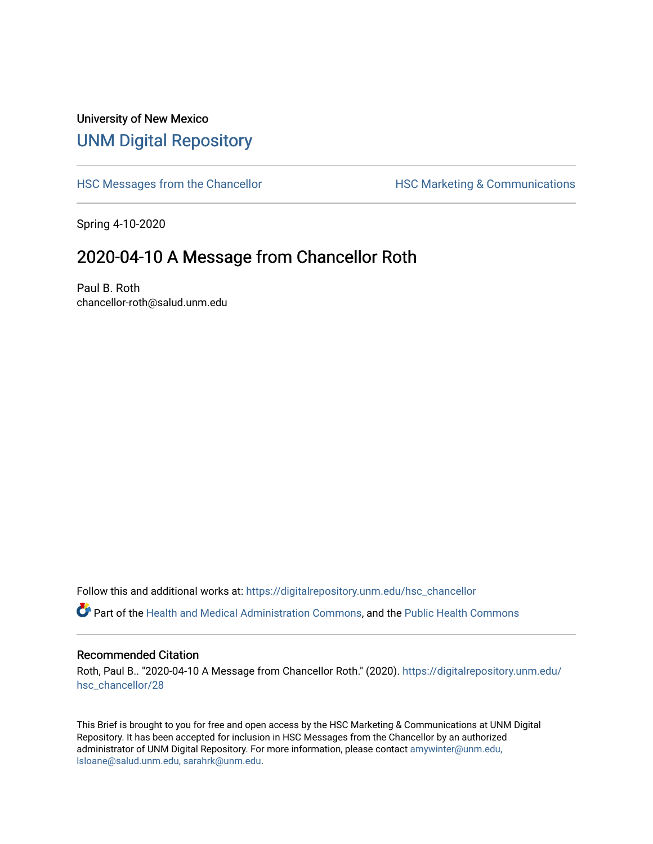## University of New Mexico [UNM Digital Repository](https://digitalrepository.unm.edu/)

[HSC Messages from the Chancellor](https://digitalrepository.unm.edu/hsc_chancellor) **HSC Marketing & Communications** 

Spring 4-10-2020

## 2020-04-10 A Message from Chancellor Roth

Paul B. Roth chancellor-roth@salud.unm.edu

Follow this and additional works at: [https://digitalrepository.unm.edu/hsc\\_chancellor](https://digitalrepository.unm.edu/hsc_chancellor?utm_source=digitalrepository.unm.edu%2Fhsc_chancellor%2F28&utm_medium=PDF&utm_campaign=PDFCoverPages) 

Part of the [Health and Medical Administration Commons](http://network.bepress.com/hgg/discipline/663?utm_source=digitalrepository.unm.edu%2Fhsc_chancellor%2F28&utm_medium=PDF&utm_campaign=PDFCoverPages), and the [Public Health Commons](http://network.bepress.com/hgg/discipline/738?utm_source=digitalrepository.unm.edu%2Fhsc_chancellor%2F28&utm_medium=PDF&utm_campaign=PDFCoverPages) 

## Recommended Citation

Roth, Paul B.. "2020-04-10 A Message from Chancellor Roth." (2020). [https://digitalrepository.unm.edu/](https://digitalrepository.unm.edu/hsc_chancellor/28?utm_source=digitalrepository.unm.edu%2Fhsc_chancellor%2F28&utm_medium=PDF&utm_campaign=PDFCoverPages) [hsc\\_chancellor/28](https://digitalrepository.unm.edu/hsc_chancellor/28?utm_source=digitalrepository.unm.edu%2Fhsc_chancellor%2F28&utm_medium=PDF&utm_campaign=PDFCoverPages) 

This Brief is brought to you for free and open access by the HSC Marketing & Communications at UNM Digital Repository. It has been accepted for inclusion in HSC Messages from the Chancellor by an authorized administrator of UNM Digital Repository. For more information, please contact [amywinter@unm.edu,](mailto:amywinter@unm.edu,%20lsloane@salud.unm.edu,%20sarahrk@unm.edu) [lsloane@salud.unm.edu, sarahrk@unm.edu.](mailto:amywinter@unm.edu,%20lsloane@salud.unm.edu,%20sarahrk@unm.edu)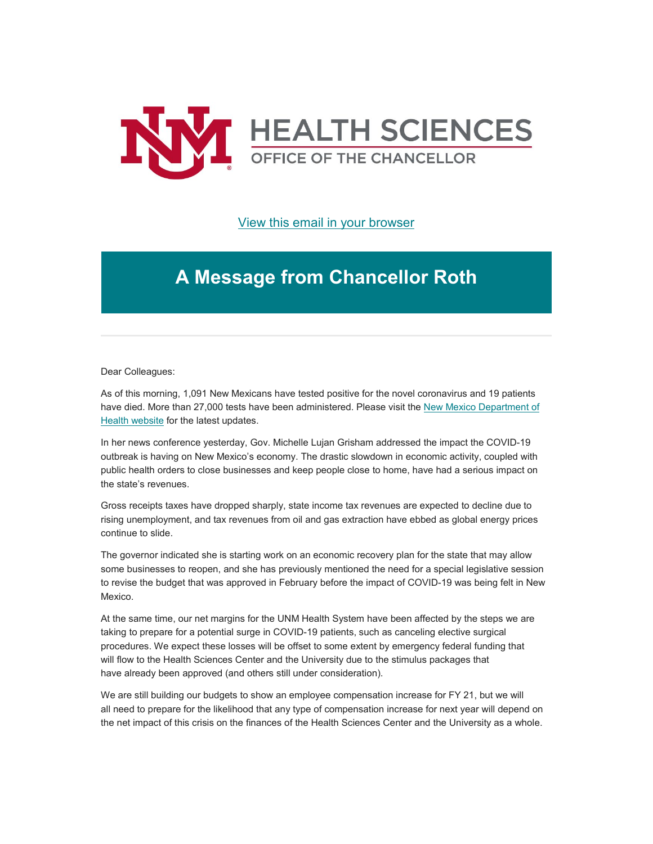

[View this email in your browser](https://mailchi.mp/225df13020a7/message-from-the-chancellor-coronavirus-4380124?e=b4bbfca2c0)

## **A Message from Chancellor Roth**

Dear Colleagues:

As of this morning, 1,091 New Mexicans have tested positive for the novel coronavirus and 19 patients have died. More than 27,000 tests have been administered. Please visit the New Mexico Department of [Health website](https://unm.us19.list-manage.com/track/click?u=59ce53c1a4dedb490bac78648&id=343c528ad7&e=b4bbfca2c0) for the latest updates.

In her news conference yesterday, Gov. Michelle Lujan Grisham addressed the impact the COVID-19 outbreak is having on New Mexico's economy. The drastic slowdown in economic activity, coupled with public health orders to close businesses and keep people close to home, have had a serious impact on the state's revenues.

Gross receipts taxes have dropped sharply, state income tax revenues are expected to decline due to rising unemployment, and tax revenues from oil and gas extraction have ebbed as global energy prices continue to slide.

The governor indicated she is starting work on an economic recovery plan for the state that may allow some businesses to reopen, and she has previously mentioned the need for a special legislative session to revise the budget that was approved in February before the impact of COVID-19 was being felt in New Mexico.

At the same time, our net margins for the UNM Health System have been affected by the steps we are taking to prepare for a potential surge in COVID-19 patients, such as canceling elective surgical procedures. We expect these losses will be offset to some extent by emergency federal funding that will flow to the Health Sciences Center and the University due to the stimulus packages that have already been approved (and others still under consideration).

We are still building our budgets to show an employee compensation increase for FY 21, but we will all need to prepare for the likelihood that any type of compensation increase for next year will depend on the net impact of this crisis on the finances of the Health Sciences Center and the University as a whole.